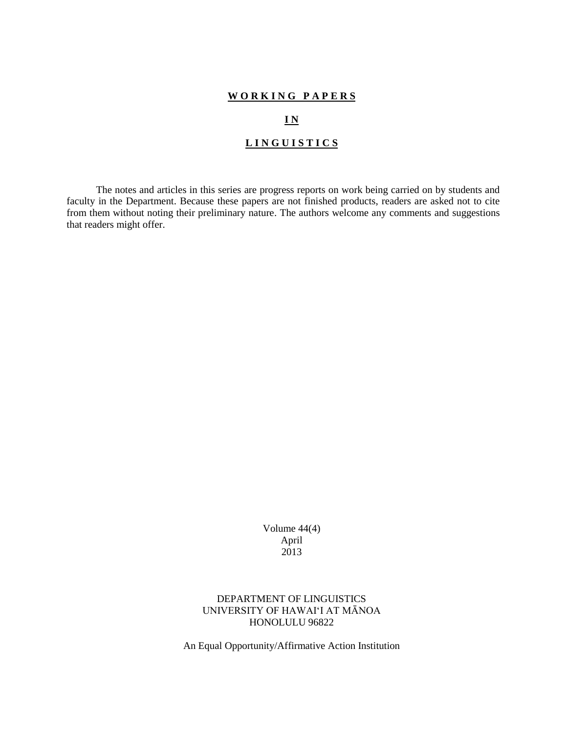#### **W O R K I N G P A P E R S**

#### **I N**

### **L I N G U I S T I C S**

The notes and articles in this series are progress reports on work being carried on by students and faculty in the Department. Because these papers are not finished products, readers are asked not to cite from them without noting their preliminary nature. The authors welcome any comments and suggestions that readers might offer.

> Volume 44(4) April 2013

DEPARTMENT OF LINGUISTICS UNIVERSITY OF HAWAI'I AT MĀNOA HONOLULU 96822

An Equal Opportunity/Affirmative Action Institution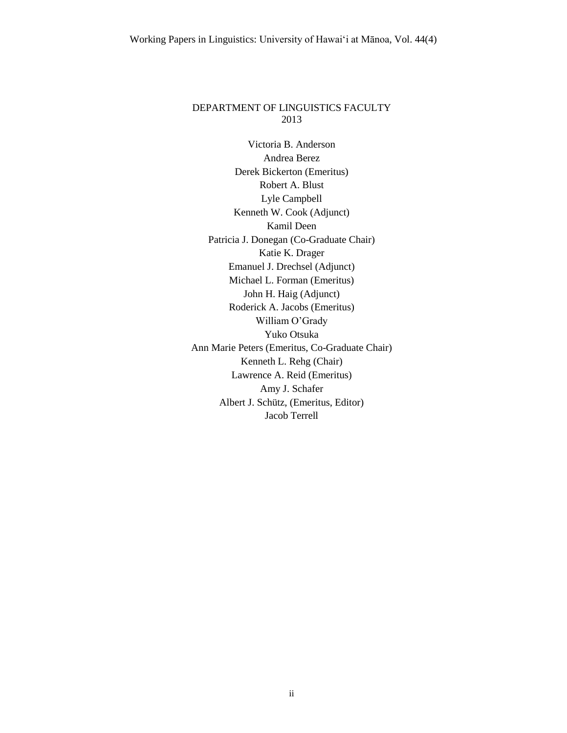### DEPARTMENT OF LINGUISTICS FACULTY 2013

Victoria B. Anderson Andrea Berez Derek Bickerton (Emeritus) Robert A. Blust Lyle Campbell Kenneth W. Cook (Adjunct) Kamil Deen Patricia J. Donegan (Co-Graduate Chair) Katie K. Drager Emanuel J. Drechsel (Adjunct) Michael L. Forman (Emeritus) John H. Haig (Adjunct) Roderick A. Jacobs (Emeritus) William O'Grady Yuko Otsuka Ann Marie Peters (Emeritus, Co-Graduate Chair) Kenneth L. Rehg (Chair) Lawrence A. Reid (Emeritus) Amy J. Schafer Albert J. Schütz, (Emeritus, Editor) Jacob Terrell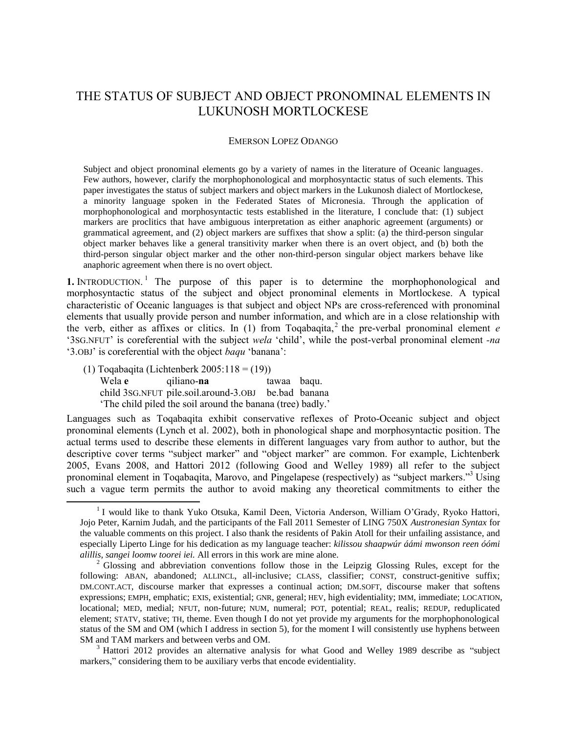# THE STATUS OF SUBJECT AND OBJECT PRONOMINAL ELEMENTS IN LUKUNOSH MORTLOCKESE

#### EMERSON LOPEZ ODANGO

Subject and object pronominal elements go by a variety of names in the literature of Oceanic languages. Few authors, however, clarify the morphophonological and morphosyntactic status of such elements. This paper investigates the status of subject markers and object markers in the Lukunosh dialect of Mortlockese, a minority language spoken in the Federated States of Micronesia. Through the application of morphophonological and morphosyntactic tests established in the literature, I conclude that: (1) subject markers are proclitics that have ambiguous interpretation as either anaphoric agreement (arguments) or grammatical agreement, and (2) object markers are suffixes that show a split: (a) the third-person singular object marker behaves like a general transitivity marker when there is an overt object, and (b) both the third-person singular object marker and the other non-third-person singular object markers behave like anaphoric agreement when there is no overt object.

**1.** INTRODUCTION.<sup>1</sup> The purpose of this paper is to determine the morphophonological and morphosyntactic status of the subject and object pronominal elements in Mortlockese. A typical characteristic of Oceanic languages is that subject and object NPs are cross-referenced with pronominal elements that usually provide person and number information, and which are in a close relationship with the verb, either as affixes or clitics. In (1) from Toqabaqita, 2 the pre-verbal pronominal element *e* '3SG.NFUT' is coreferential with the subject *wela* 'child', while the post-verbal pronominal element *-na* '3.OBJ' is coreferential with the object *baqu* 'banana':

(1) Toqabaqita (Lichtenberk  $2005:118 = (19)$ ) Wela **e** qiliano-**na** tawaa baqu. child 3SG.NFUT pile.soil.around-3.OBJ be.bad banana 'The child piled the soil around the banana (tree) badly.'

l

Languages such as Toqabaqita exhibit conservative reflexes of Proto-Oceanic subject and object pronominal elements (Lynch et al. 2002), both in phonological shape and morphosyntactic position. The actual terms used to describe these elements in different languages vary from author to author, but the descriptive cover terms "subject marker" and "object marker" are common. For example, Lichtenberk 2005, Evans 2008, and Hattori 2012 (following Good and Welley 1989) all refer to the subject pronominal element in Toqabaqita, Marovo, and Pingelapese (respectively) as "subject markers."<sup>3</sup> Using such a vague term permits the author to avoid making any theoretical commitments to either the

<sup>&</sup>lt;sup>1</sup> I would like to thank Yuko Otsuka, Kamil Deen, Victoria Anderson, William O'Grady, Ryoko Hattori, Jojo Peter, Karnim Judah, and the participants of the Fall 2011 Semester of LING 750X *Austronesian Syntax* for the valuable comments on this project. I also thank the residents of Pakin Atoll for their unfailing assistance, and especially Liperto Linge for his dedication as my language teacher: *kilissou shaapwúr áámi mwonson reen óómi alillis, sangei loomw toorei iei.* All errors in this work are mine alone.

 $2^2$  Glossing and abbreviation conventions follow those in the Leipzig Glossing Rules, except for the following: ABAN, abandoned; ALLINCL, all-inclusive; CLASS, classifier; CONST, construct-genitive suffix; DM.CONT.ACT, discourse marker that expresses a continual action; DM.SOFT, discourse maker that softens expressions; EMPH, emphatic; EXIS, existential; GNR, general; HEV, high evidentiality; IMM, immediate; LOCATION, locational; MED, medial; NFUT, non-future; NUM, numeral; POT, potential; REAL, realis; REDUP, reduplicated element; STATV, stative; TH, theme. Even though I do not yet provide my arguments for the morphophonological status of the SM and OM (which I address in section 5), for the moment I will consistently use hyphens between SM and TAM markers and between verbs and OM.

<sup>&</sup>lt;sup>3</sup> Hattori 2012 provides an alternative analysis for what Good and Welley 1989 describe as "subject" markers," considering them to be auxiliary verbs that encode evidentiality.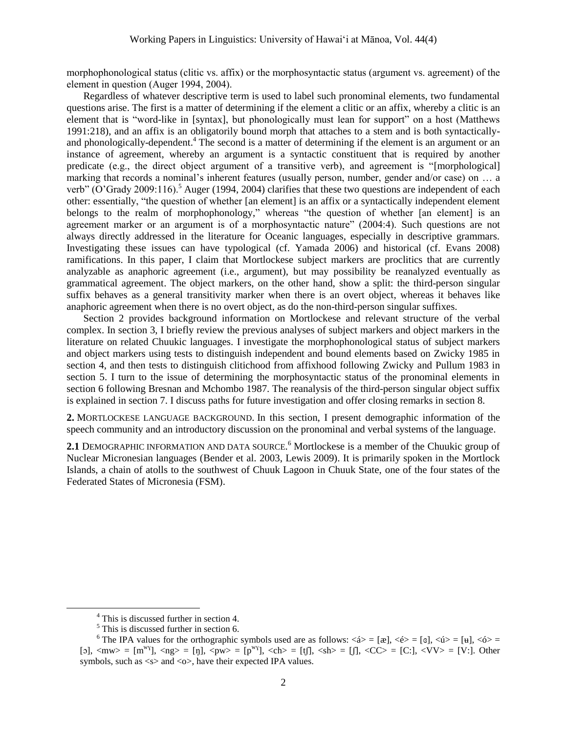morphophonological status (clitic vs. affix) or the morphosyntactic status (argument vs. agreement) of the element in question (Auger 1994, 2004).

Regardless of whatever descriptive term is used to label such pronominal elements, two fundamental questions arise. The first is a matter of determining if the element a clitic or an affix, whereby a clitic is an element that is "word-like in [syntax], but phonologically must lean for support" on a host (Matthews 1991:218), and an affix is an obligatorily bound morph that attaches to a stem and is both syntacticallyand phonologically-dependent.<sup>4</sup> The second is a matter of determining if the element is an argument or an instance of agreement, whereby an argument is a syntactic constituent that is required by another predicate (e.g., the direct object argument of a transitive verb), and agreement is "[morphological] marking that records a nominal's inherent features (usually person, number, gender and/or case) on … a verb" (O'Grady 2009:116).<sup>5</sup> Auger (1994, 2004) clarifies that these two questions are independent of each other: essentially, "the question of whether [an element] is an affix or a syntactically independent element belongs to the realm of morphophonology," whereas "the question of whether [an element] is an agreement marker or an argument is of a morphosyntactic nature" (2004:4). Such questions are not always directly addressed in the literature for Oceanic languages, especially in descriptive grammars. Investigating these issues can have typological (cf. Yamada 2006) and historical (cf. Evans 2008) ramifications. In this paper, I claim that Mortlockese subject markers are proclitics that are currently analyzable as anaphoric agreement (i.e., argument), but may possibility be reanalyzed eventually as grammatical agreement. The object markers, on the other hand, show a split: the third-person singular suffix behaves as a general transitivity marker when there is an overt object, whereas it behaves like anaphoric agreement when there is no overt object, as do the non-third-person singular suffixes.

Section 2 provides background information on Mortlockese and relevant structure of the verbal complex. In section 3, I briefly review the previous analyses of subject markers and object markers in the literature on related Chuukic languages. I investigate the morphophonological status of subject markers and object markers using tests to distinguish independent and bound elements based on Zwicky 1985 in section 4, and then tests to distinguish clitichood from affixhood following Zwicky and Pullum 1983 in section 5. I turn to the issue of determining the morphosyntactic status of the pronominal elements in section 6 following Bresnan and Mchombo 1987. The reanalysis of the third-person singular object suffix is explained in section 7. I discuss paths for future investigation and offer closing remarks in section 8.

**2.** MORTLOCKESE LANGUAGE BACKGROUND. In this section, I present demographic information of the speech community and an introductory discussion on the pronominal and verbal systems of the language.

**2.1** DEMOGRAPHIC INFORMATION AND DATA SOURCE. <sup>6</sup> Mortlockese is a member of the Chuukic group of Nuclear Micronesian languages (Bender et al. 2003, Lewis 2009). It is primarily spoken in the Mortlock Islands, a chain of atolls to the southwest of Chuuk Lagoon in Chuuk State, one of the four states of the Federated States of Micronesia (FSM).

<sup>4</sup> This is discussed further in section 4.

 $<sup>5</sup>$  This is discussed further in section 6.</sup>

<sup>&</sup>lt;sup>6</sup> The IPA values for the orthographic symbols used are as follows:  $\langle 4 \rangle = [\alpha]$ ,  $\langle 4 \rangle = [\alpha]$ ,  $\langle 4 \rangle = [\mu]$ ,  $\langle 6 \rangle =$  $[5]$ ,  $\langle m_{W} \rangle = [m_{W}]}$ ,  $\langle ng \rangle = [n]$ ,  $\langle pw \rangle = [p_{W}]}$ ,  $\langle ch \rangle = [t]$ ,  $\langle sh \rangle = [f]$ ,  $\langle CC \rangle = [C;]$ ,  $\langle VV \rangle = [V;]$ . Other symbols, such as  $\langle s \rangle$  and  $\langle \circ \rangle$ , have their expected IPA values.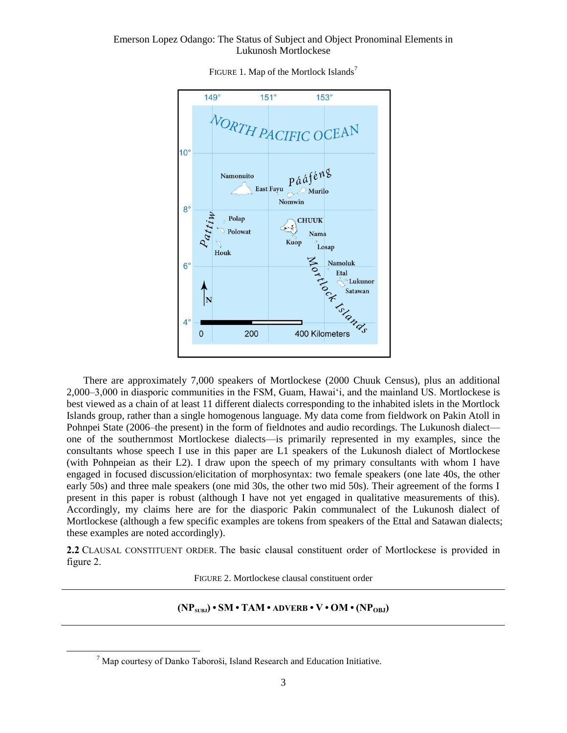

FIGURE 1. Map of the Mortlock Islands<sup>7</sup>

There are approximately 7,000 speakers of Mortlockese (2000 Chuuk Census), plus an additional 2,000–3,000 in diasporic communities in the FSM, Guam, Hawai'i, and the mainland US. Mortlockese is best viewed as a chain of at least 11 different dialects corresponding to the inhabited islets in the Mortlock Islands group, rather than a single homogenous language. My data come from fieldwork on Pakin Atoll in Pohnpei State (2006–the present) in the form of fieldnotes and audio recordings. The Lukunosh dialect one of the southernmost Mortlockese dialects—is primarily represented in my examples, since the consultants whose speech I use in this paper are L1 speakers of the Lukunosh dialect of Mortlockese (with Pohnpeian as their L2). I draw upon the speech of my primary consultants with whom I have engaged in focused discussion/elicitation of morphosyntax: two female speakers (one late 40s, the other early 50s) and three male speakers (one mid 30s, the other two mid 50s). Their agreement of the forms I present in this paper is robust (although I have not yet engaged in qualitative measurements of this). Accordingly, my claims here are for the diasporic Pakin communalect of the Lukunosh dialect of Mortlockese (although a few specific examples are tokens from speakers of the Ettal and Satawan dialects; these examples are noted accordingly).

**2.2** CLAUSAL CONSTITUENT ORDER. The basic clausal constituent order of Mortlockese is provided in figure 2.

FIGURE 2. Mortlockese clausal constituent order

## $(\text{NP}_{\text{SIR}}) \cdot \text{SM} \cdot \text{TAM} \cdot \text{ADVERB} \cdot \text{V} \cdot \text{OM} \cdot (\text{NP}_{\text{ORJ}})$

 $<sup>7</sup>$  Map courtesy of Danko Taboroši, Island Research and Education Initiative.</sup>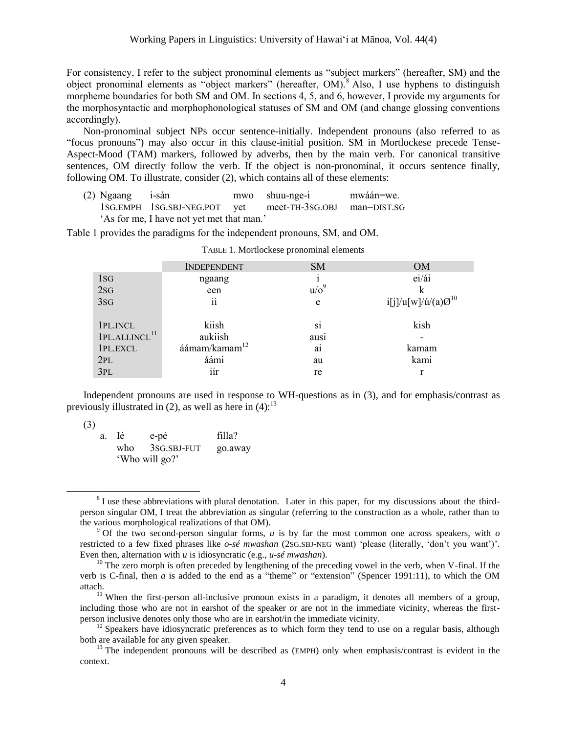For consistency, I refer to the subject pronominal elements as "subject markers" (hereafter, SM) and the object pronominal elements as "object markers" (hereafter,  $OM$ ).<sup>8</sup> Also, I use hyphens to distinguish morpheme boundaries for both SM and OM. In sections 4, 5, and 6, however, I provide my arguments for the morphosyntactic and morphophonological statuses of SM and OM (and change glossing conventions accordingly).

Non-pronominal subject NPs occur sentence-initially. Independent pronouns (also referred to as "focus pronouns") may also occur in this clause-initial position. SM in Mortlockese precede Tense-Aspect-Mood (TAM) markers, followed by adverbs, then by the main verb. For canonical transitive sentences, OM directly follow the verb. If the object is non-pronominal, it occurs sentence finally, following OM. To illustrate, consider (2), which contains all of these elements:

(2) Ngaang i-sán mwo shuu-nge-i mwáán=we. 1SG.EMPH 1SG.SBJ-NEG.POT yet meet-TH-3SG.OBJ man=DIST.SG 'As for me, I have not yet met that man.'

Table 1 provides the paradigms for the independent pronouns, SM, and OM.

|                           | <b>INDEPENDENT</b>        | <b>SM</b>      | <b>OM</b>                       |
|---------------------------|---------------------------|----------------|---------------------------------|
| 1 <sub>S</sub>            | ngaang                    |                | ei/ái                           |
| 2SG                       | een                       | $u/\sigma^9$   | k                               |
| 3sG                       | ii                        | e              | $i[j]/u[w]/\acute{u}/(a)Q^{10}$ |
| 1PL.INCL                  | kiish                     | S1             | kish                            |
| 1PL.ALLINCL <sup>11</sup> | aukiish                   | ausi           |                                 |
| 1PL.EXCL                  | áámam/kamam <sup>12</sup> | a <sub>1</sub> | kamam                           |
| 2PL                       | áámi                      | au             | kami                            |
| 3PL                       | iir                       | re             |                                 |

| TABLE 1. Mortlockese pronominal elements |  |
|------------------------------------------|--|
|------------------------------------------|--|

Independent pronouns are used in response to WH-questions as in (3), and for emphasis/contrast as previously illustrated in (2), as well as here in (4):<sup>13</sup>

(3)

| $\sim$ | a. | - Té | e-pé           | filla?  |
|--------|----|------|----------------|---------|
|        |    | who  | 3SG.SBJ-FUT    | go.away |
|        |    |      | 'Who will go?' |         |

 $8$  I use these abbreviations with plural denotation. Later in this paper, for my discussions about the thirdperson singular OM, I treat the abbreviation as singular (referring to the construction as a whole, rather than to the various morphological realizations of that OM).

<sup>9</sup> Of the two second-person singular forms, *u* is by far the most common one across speakers, with *o* restricted to a few fixed phrases like *o-sé mwashan* (2SG.SBJ-NEG want) 'please (literally, 'don't you want')'. Even then, alternation with *u* is idiosyncratic (e.g., *u-sé mwashan*).

 $10$  The zero morph is often preceded by lengthening of the preceding vowel in the verb, when V-final. If the verb is C-final, then *a* is added to the end as a "theme" or "extension" (Spencer 1991:11), to which the OM attach.

 $11$  When the first-person all-inclusive pronoun exists in a paradigm, it denotes all members of a group, including those who are not in earshot of the speaker or are not in the immediate vicinity, whereas the firstperson inclusive denotes only those who are in earshot/in the immediate vicinity.

 $12$  Speakers have idiosyncratic preferences as to which form they tend to use on a regular basis, although both are available for any given speaker.

 $13$  The independent pronouns will be described as (EMPH) only when emphasis/contrast is evident in the context.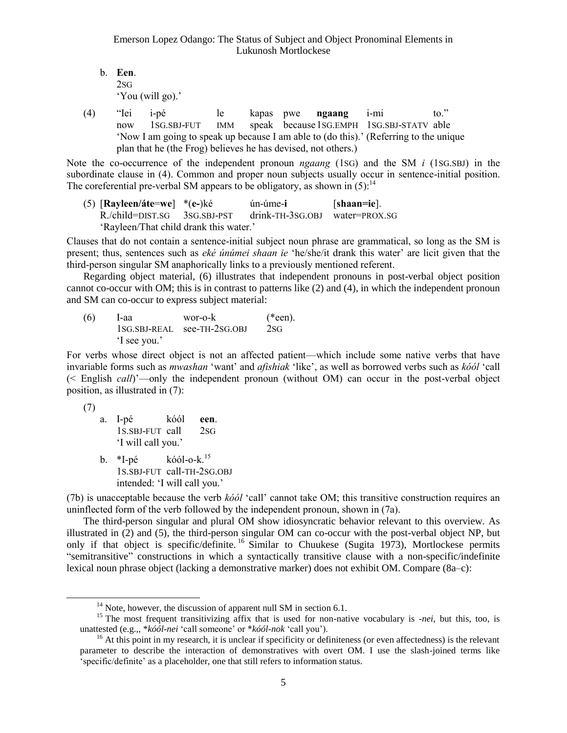- b. **Een**. 2SG 'You (will go).'
- (4) "Iei i-pé le kapas pwe **ngaang** i-mi to." now 1SG.SBJ-FUT IMM speak because1SG.EMPH 1SG.SBJ-STATV able 'Now I am going to speak up because I am able to (do this).' (Referring to the unique plan that he (the Frog) believes he has devised, not others.)

Note the co-occurrence of the independent pronoun *ngaang* (1SG) and the SM *i* (1SG.SBJ) in the subordinate clause in (4). Common and proper noun subjects usually occur in sentence-initial position. The coreferential pre-verbal SM appears to be obligatory, as shown in  $(5)$ :<sup>14</sup>

(5) [**Rayleen/áte**=**we**] \*(**e-**)ké ún-úme-**i** [**shaan=ie**]. R./child=DIST.SG 3SG.SBJ-PST drink-TH-3SG.OBJ water=PROX.SG 'Rayleen/That child drank this water.'

Clauses that do not contain a sentence-initial subject noun phrase are grammatical, so long as the SM is present; thus, sentences such as *eké únúmei shaan ie* 'he/she/it drank this water' are licit given that the third-person singular SM anaphorically links to a previously mentioned referent.

Regarding object material, (6) illustrates that independent pronouns in post-verbal object position cannot co-occur with OM; this is in contrast to patterns like (2) and (4), in which the independent pronoun and SM can co-occur to express subject material:

 $(6)$  I-aa wor-o-k (\*een). 1SG.SBJ-REAL see-TH-2SG.OBJ 2SG 'I see you.'

For verbs whose direct object is not an affected patient—which include some native verbs that have invariable forms such as *mwashan* 'want' and *afishiak* 'like', as well as borrowed verbs such as *kóól* 'call (< English *call*)'—only the independent pronoun (without OM) can occur in the post-verbal object position, as illustrated in (7):

```
(7)
```
l

- a. I-pé kóól **een**. 1S.SBJ-FUT call 2SG 'I will call you.'
- $b. *I-né$  $k$ óól-o- $k$ <sup>15</sup> 1S.SBJ-FUT call-TH-2SG.OBJ intended: 'I will call you.'

(7b) is unacceptable because the verb *kóól* 'call' cannot take OM; this transitive construction requires an uninflected form of the verb followed by the independent pronoun, shown in (7a).

The third-person singular and plural OM show idiosyncratic behavior relevant to this overview. As illustrated in (2) and (5), the third-person singular OM can co-occur with the post-verbal object NP, but only if that object is specific/definite. <sup>16</sup> Similar to Chuukese (Sugita 1973), Mortlockese permits "semitransitive" constructions in which a syntactically transitive clause with a non-specific/indefinite lexical noun phrase object (lacking a demonstrative marker) does not exhibit OM. Compare (8a–c):

 $14$  Note, however, the discussion of apparent null SM in section 6.1.

<sup>&</sup>lt;sup>15</sup> The most frequent transitivizing affix that is used for non-native vocabulary is *-nei*, but this, too, is unattested (e.g.,, \**kóól-nei* 'call someone' or \**kóól-nok* 'call you').

 $16$  At this point in my research, it is unclear if specificity or definiteness (or even affectedness) is the relevant parameter to describe the interaction of demonstratives with overt OM. I use the slash-joined terms like 'specific/definite' as a placeholder, one that still refers to information status.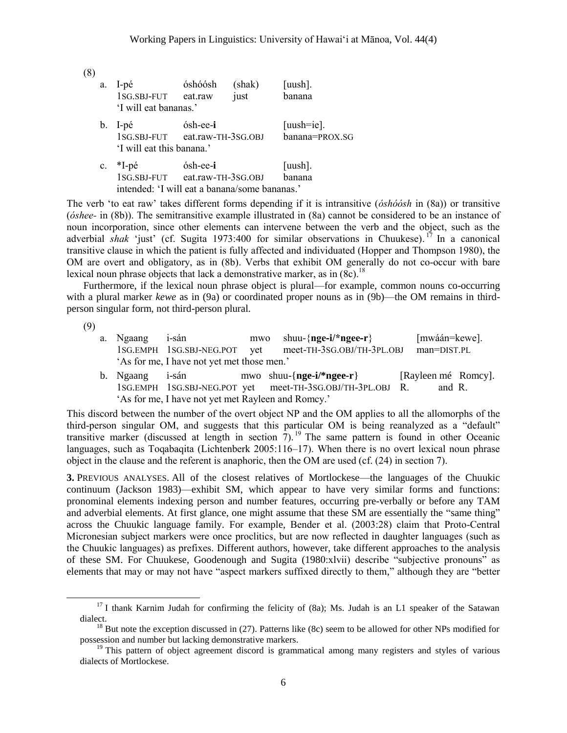| (8) |             |                                                                       |                                            |                |                                 |
|-----|-------------|-----------------------------------------------------------------------|--------------------------------------------|----------------|---------------------------------|
|     | a.          | l-pé<br>1SG.SBJ-FUT eat.raw<br>'I will eat bananas.'                  | óshóósh                                    | (shak)<br>just | $[uush]$ .<br>banana            |
|     | b.          | I-pé<br>'I will eat this banana.'                                     | ósh-ee-i<br>1SG.SBJ-FUT eat.raw-TH-3SG.OBJ |                | $[uush=ie]$ .<br>banana=PROX.SG |
|     | $c_{\cdot}$ | *I-pé<br>1SG.SBJ-FUT<br>intended: 'I will eat a banana/some bananas.' | ósh-ee-i<br>eat.raw-TH-3SG.OBJ             |                | $[uush]$ .<br>banana            |

The verb 'to eat raw' takes different forms depending if it is intransitive (*óshóósh* in (8a)) or transitive (*óshee-* in (8b)). The semitransitive example illustrated in (8a) cannot be considered to be an instance of noun incorporation, since other elements can intervene between the verb and the object, such as the adverbial *shak* 'just' (cf. Sugita 1973:400 for similar observations in Chuukese). <sup>17</sup> In a canonical transitive clause in which the patient is fully affected and individuated (Hopper and Thompson 1980), the OM are overt and obligatory, as in (8b). Verbs that exhibit OM generally do not co-occur with bare lexical noun phrase objects that lack a demonstrative marker, as in  $(8c)$ .<sup>18</sup>

Furthermore, if the lexical noun phrase object is plural—for example, common nouns co-occurring with a plural marker *kewe* as in (9a) or coordinated proper nouns as in (9b)—the OM remains in thirdperson singular form, not third-person plural.

(9)

l

- a. Ngaang i-sán mwo shuu-{**nge-i/\*ngee-r**} [mwáán=kewe]. 1SG.EMPH 1SG.SBJ-NEG.POT yet meet-TH-3SG.OBJ/TH-3PL.OBJ man=DIST.PL 'As for me, I have not yet met those men.'
- b. Ngaang i-sán mwo shuu-{**nge-i/\*ngee-r**} [Rayleen mé Romcy]. 1SG.EMPH 1SG.SBJ-NEG.POT yet meet-TH-3SG.OBJ/TH-3PL.OBJ R. and R. 'As for me, I have not yet met Rayleen and Romcy.'

This discord between the number of the overt object NP and the OM applies to all the allomorphs of the third-person singular OM, and suggests that this particular OM is being reanalyzed as a "default" transitive marker (discussed at length in section  $7$ ).<sup>19</sup> The same pattern is found in other Oceanic languages, such as Toqabaqita (Lichtenberk 2005:116–17). When there is no overt lexical noun phrase object in the clause and the referent is anaphoric, then the OM are used (cf. (24) in section 7).

**3.** PREVIOUS ANALYSES. All of the closest relatives of Mortlockese—the languages of the Chuukic continuum (Jackson 1983)—exhibit SM, which appear to have very similar forms and functions: pronominal elements indexing person and number features, occurring pre-verbally or before any TAM and adverbial elements. At first glance, one might assume that these SM are essentially the "same thing" across the Chuukic language family. For example, Bender et al. (2003:28) claim that Proto-Central Micronesian subject markers were once proclitics, but are now reflected in daughter languages (such as the Chuukic languages) as prefixes. Different authors, however, take different approaches to the analysis of these SM. For Chuukese, Goodenough and Sugita (1980:xlvii) describe "subjective pronouns" as elements that may or may not have "aspect markers suffixed directly to them," although they are "better

<sup>&</sup>lt;sup>17</sup> I thank Karnim Judah for confirming the felicity of (8a); Ms. Judah is an L1 speaker of the Satawan dialect.

 $18$  But note the exception discussed in (27). Patterns like (8c) seem to be allowed for other NPs modified for possession and number but lacking demonstrative markers.

<sup>&</sup>lt;sup>19</sup> This pattern of object agreement discord is grammatical among many registers and styles of various dialects of Mortlockese.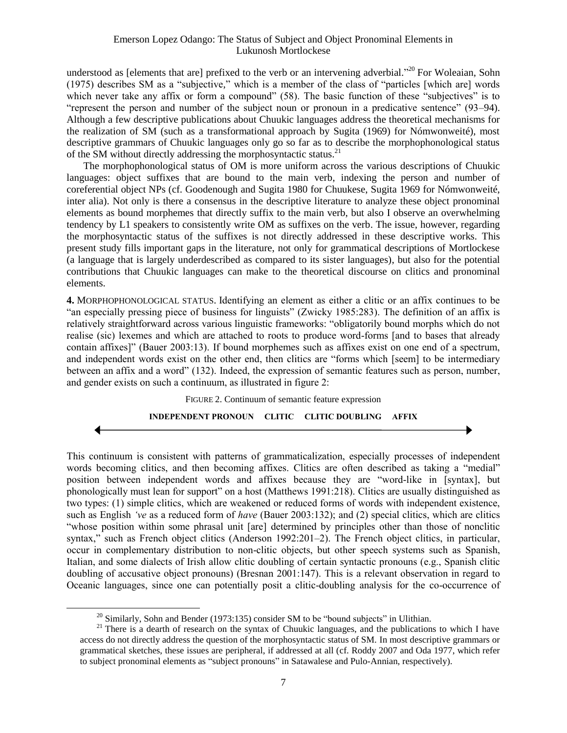understood as [elements that are] prefixed to the verb or an intervening adverbial."<sup>20</sup> For Woleaian, Sohn (1975) describes SM as a "subjective," which is a member of the class of "particles [which are] words which never take any affix or form a compound" (58). The basic function of these "subjectives" is to "represent the person and number of the subject noun or pronoun in a predicative sentence" (93–94). Although a few descriptive publications about Chuukic languages address the theoretical mechanisms for the realization of SM (such as a transformational approach by Sugita (1969) for Nómwonweité), most descriptive grammars of Chuukic languages only go so far as to describe the morphophonological status of the SM without directly addressing the morphosyntactic status.<sup>21</sup>

The morphophonological status of OM is more uniform across the various descriptions of Chuukic languages: object suffixes that are bound to the main verb, indexing the person and number of coreferential object NPs (cf. Goodenough and Sugita 1980 for Chuukese, Sugita 1969 for Nómwonweité, inter alia). Not only is there a consensus in the descriptive literature to analyze these object pronominal elements as bound morphemes that directly suffix to the main verb, but also I observe an overwhelming tendency by L1 speakers to consistently write OM as suffixes on the verb. The issue, however, regarding the morphosyntactic status of the suffixes is not directly addressed in these descriptive works. This present study fills important gaps in the literature, not only for grammatical descriptions of Mortlockese (a language that is largely underdescribed as compared to its sister languages), but also for the potential contributions that Chuukic languages can make to the theoretical discourse on clitics and pronominal elements.

**4.** MORPHOPHONOLOGICAL STATUS. Identifying an element as either a clitic or an affix continues to be "an especially pressing piece of business for linguists" (Zwicky 1985:283). The definition of an affix is relatively straightforward across various linguistic frameworks: "obligatorily bound morphs which do not realise (sic) lexemes and which are attached to roots to produce word-forms [and to bases that already contain affixes]" (Bauer 2003:13). If bound morphemes such as affixes exist on one end of a spectrum, and independent words exist on the other end, then clitics are "forms which [seem] to be intermediary between an affix and a word" (132). Indeed, the expression of semantic features such as person, number, and gender exists on such a continuum, as illustrated in figure 2:

FIGURE 2. Continuum of semantic feature expression

**INDEPENDENT PRONOUN CLITIC CLITIC DOUBLING AFFIX**

This continuum is consistent with patterns of grammaticalization, especially processes of independent words becoming clitics, and then becoming affixes. Clitics are often described as taking a "medial" position between independent words and affixes because they are "word-like in [syntax], but phonologically must lean for support" on a host (Matthews 1991:218). Clitics are usually distinguished as two types: (1) simple clitics, which are weakened or reduced forms of words with independent existence, such as English *'ve* as a reduced form of *have* (Bauer 2003:132); and (2) special clitics, which are clitics "whose position within some phrasal unit [are] determined by principles other than those of nonclitic syntax," such as French object clitics (Anderson 1992:201–2). The French object clitics, in particular, occur in complementary distribution to non-clitic objects, but other speech systems such as Spanish, Italian, and some dialects of Irish allow clitic doubling of certain syntactic pronouns (e.g., Spanish clitic doubling of accusative object pronouns) (Bresnan 2001:147). This is a relevant observation in regard to Oceanic languages, since one can potentially posit a clitic-doubling analysis for the co-occurrence of

<sup>&</sup>lt;sup>20</sup> Similarly, Sohn and Bender (1973:135) consider SM to be "bound subjects" in Ulithian.

<sup>&</sup>lt;sup>21</sup> There is a dearth of research on the syntax of Chuukic languages, and the publications to which I have access do not directly address the question of the morphosyntactic status of SM. In most descriptive grammars or grammatical sketches, these issues are peripheral, if addressed at all (cf. Roddy 2007 and Oda 1977, which refer to subject pronominal elements as "subject pronouns" in Satawalese and Pulo-Annian, respectively).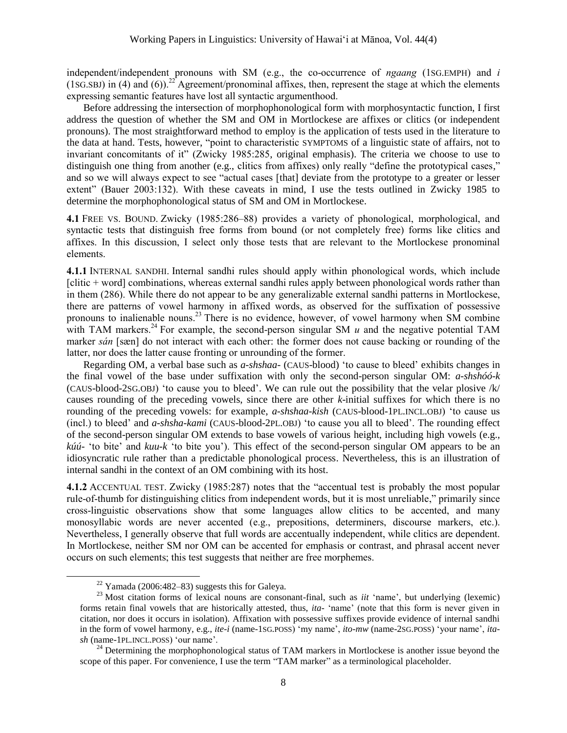independent/independent pronouns with SM (e.g., the co-occurrence of *ngaang* (1SG.EMPH) and *i* (1sG.SBJ) in (4) and (6)).<sup>22</sup> Agreement/pronominal affixes, then, represent the stage at which the elements expressing semantic features have lost all syntactic argumenthood.

Before addressing the intersection of morphophonological form with morphosyntactic function, I first address the question of whether the SM and OM in Mortlockese are affixes or clitics (or independent pronouns). The most straightforward method to employ is the application of tests used in the literature to the data at hand. Tests, however, "point to characteristic SYMPTOMS of a linguistic state of affairs, not to invariant concomitants of it" (Zwicky 1985:285, original emphasis). The criteria we choose to use to distinguish one thing from another (e.g., clitics from affixes) only really "define the prototypical cases," and so we will always expect to see "actual cases [that] deviate from the prototype to a greater or lesser extent" (Bauer 2003:132). With these caveats in mind, I use the tests outlined in Zwicky 1985 to determine the morphophonological status of SM and OM in Mortlockese.

**4.1** FREE VS. BOUND. Zwicky (1985:286–88) provides a variety of phonological, morphological, and syntactic tests that distinguish free forms from bound (or not completely free) forms like clitics and affixes. In this discussion, I select only those tests that are relevant to the Mortlockese pronominal elements.

**4.1.1** INTERNAL SANDHI. Internal sandhi rules should apply within phonological words, which include [clitic + word] combinations, whereas external sandhi rules apply between phonological words rather than in them (286). While there do not appear to be any generalizable external sandhi patterns in Mortlockese, there are patterns of vowel harmony in affixed words, as observed for the suffixation of possessive pronouns to inalienable nouns. <sup>23</sup> There is no evidence, however, of vowel harmony when SM combine with TAM markers.<sup>24</sup> For example, the second-person singular SM  $u$  and the negative potential TAM marker *sán* [sæn] do not interact with each other: the former does not cause backing or rounding of the latter, nor does the latter cause fronting or unrounding of the former.

Regarding OM, a verbal base such as *a-shshaa-* (CAUS-blood) 'to cause to bleed' exhibits changes in the final vowel of the base under suffixation with only the second-person singular OM: *a-shshóó-k* (CAUS-blood-2SG.OBJ) 'to cause you to bleed'. We can rule out the possibility that the velar plosive /k/ causes rounding of the preceding vowels, since there are other *k*-initial suffixes for which there is no rounding of the preceding vowels: for example, *a-shshaa-kish* (CAUS-blood-1PL.INCL.OBJ) 'to cause us (incl.) to bleed' and *a-shsha-kami* (CAUS-blood-2PL.OBJ) 'to cause you all to bleed'. The rounding effect of the second-person singular OM extends to base vowels of various height, including high vowels (e.g., *kúú-* 'to bite' and *kuu-k* 'to bite you'). This effect of the second-person singular OM appears to be an idiosyncratic rule rather than a predictable phonological process. Nevertheless, this is an illustration of internal sandhi in the context of an OM combining with its host.

**4.1.2** ACCENTUAL TEST. Zwicky (1985:287) notes that the "accentual test is probably the most popular rule-of-thumb for distinguishing clitics from independent words, but it is most unreliable," primarily since cross-linguistic observations show that some languages allow clitics to be accented, and many monosyllabic words are never accented (e.g., prepositions, determiners, discourse markers, etc.). Nevertheless, I generally observe that full words are accentually independent, while clitics are dependent. In Mortlockese, neither SM nor OM can be accented for emphasis or contrast, and phrasal accent never occurs on such elements; this test suggests that neither are free morphemes.

l

 $22$  Yamada (2006:482–83) suggests this for Galeya.

<sup>&</sup>lt;sup>23</sup> Most citation forms of lexical nouns are consonant-final, such as *iit* 'name', but underlying (lexemic) forms retain final vowels that are historically attested, thus, *ita-* 'name' (note that this form is never given in citation, nor does it occurs in isolation). Affixation with possessive suffixes provide evidence of internal sandhi in the form of vowel harmony, e.g., *ite-i* (name-1SG.POSS) 'my name', *ito-mw* (name-2SG.POSS) 'your name', *itash* (name-1PL.INCL.POSS) 'our name'.

<sup>&</sup>lt;sup>24</sup> Determining the morphophonological status of TAM markers in Mortlockese is another issue beyond the scope of this paper. For convenience, I use the term "TAM marker" as a terminological placeholder.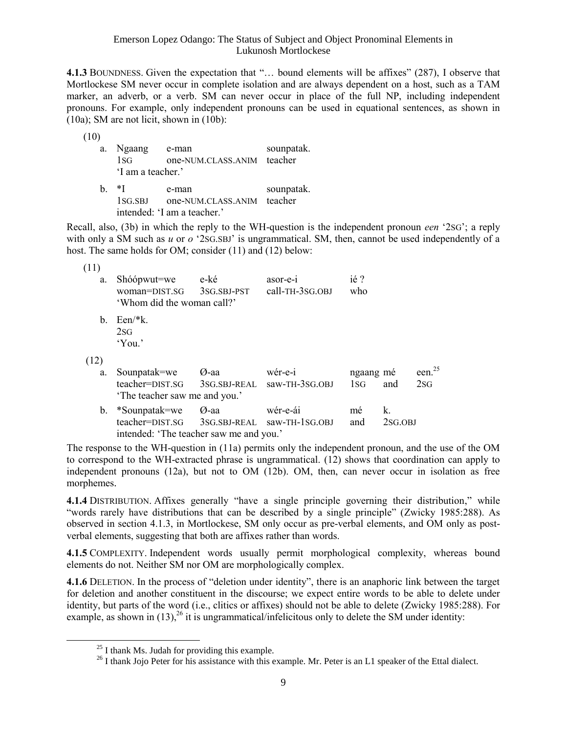**4.1.3** BOUNDNESS. Given the expectation that "… bound elements will be affixes" (287), I observe that Mortlockese SM never occur in complete isolation and are always dependent on a host, such as a TAM marker, an adverb, or a verb. SM can never occur in place of the full NP, including independent pronouns. For example, only independent pronouns can be used in equational sentences, as shown in (10a); SM are not licit, shown in (10b):

(10)

- a. Ngaang e-man sounpatak. 1SG one-NUM.CLASS.ANIM teacher 'I am a teacher.' b.  $*$ I e-man sounpatak.
- 1SG.SBJ one-NUM.CLASS.ANIM teacher intended: 'I am a teacher.'

Recall, also, (3b) in which the reply to the WH-question is the independent pronoun *een* '2SG'; a reply with only a SM such as *u* or *o* '2SG.SBJ' is ungrammatical. SM, then, cannot be used independently of a host. The same holds for OM; consider (11) and (12) below:

| (11)           |                                                                             |                     |                                         |                  |                  |                  |
|----------------|-----------------------------------------------------------------------------|---------------------|-----------------------------------------|------------------|------------------|------------------|
| a.             | Shóópwut=we<br>woman=DIST.SG<br>'Whom did the woman call?'                  | e-ké<br>3SG.SBJ-PST | asor-e-1<br>call-TH-3SG.OBJ             | ié ?<br>who      |                  |                  |
| $\mathbf{b}$ . | $Een/*k$ .<br>2 <sub>SG</sub><br>'You.'                                     |                     |                                         |                  |                  |                  |
| (12)           |                                                                             |                     |                                         |                  |                  |                  |
| a.             | Sounpatak=we<br>teacher=DIST.SG<br>The teacher saw me and you.'             | Ø-aa                | wér-e-i<br>3SG.SBJ-REAL saw-TH-3SG.OBJ  | ngaang mé<br>1SG | and              | een. $25$<br>2SG |
| b.             | *Sounpatak=we<br>teacher=DIST.SG<br>intended: 'The teacher saw me and you.' | Ø-aa                | wér-e-ái<br>3SG.SBJ-REAL saw-TH-1SG.OBJ | mé<br>and        | k.<br>$2SG.$ OBJ |                  |

The response to the WH-question in (11a) permits only the independent pronoun, and the use of the OM to correspond to the WH-extracted phrase is ungrammatical. (12) shows that coordination can apply to independent pronouns (12a), but not to OM (12b). OM, then, can never occur in isolation as free morphemes.

**4.1.4** DISTRIBUTION. Affixes generally "have a single principle governing their distribution," while "words rarely have distributions that can be described by a single principle" (Zwicky 1985:288). As observed in section 4.1.3, in Mortlockese, SM only occur as pre-verbal elements, and OM only as postverbal elements, suggesting that both are affixes rather than words.

**4.1.5** COMPLEXITY. Independent words usually permit morphological complexity, whereas bound elements do not. Neither SM nor OM are morphologically complex.

**4.1.6** DELETION. In the process of "deletion under identity", there is an anaphoric link between the target for deletion and another constituent in the discourse; we expect entire words to be able to delete under identity, but parts of the word (i.e., clitics or affixes) should not be able to delete (Zwicky 1985:288). For example, as shown in  $(13)$ ,<sup>26</sup> it is ungrammatical/infelicitous only to delete the SM under identity:

l

 $^{25}$  I thank Ms. Judah for providing this example.

 $^{26}$  I thank Jojo Peter for his assistance with this example. Mr. Peter is an L1 speaker of the Ettal dialect.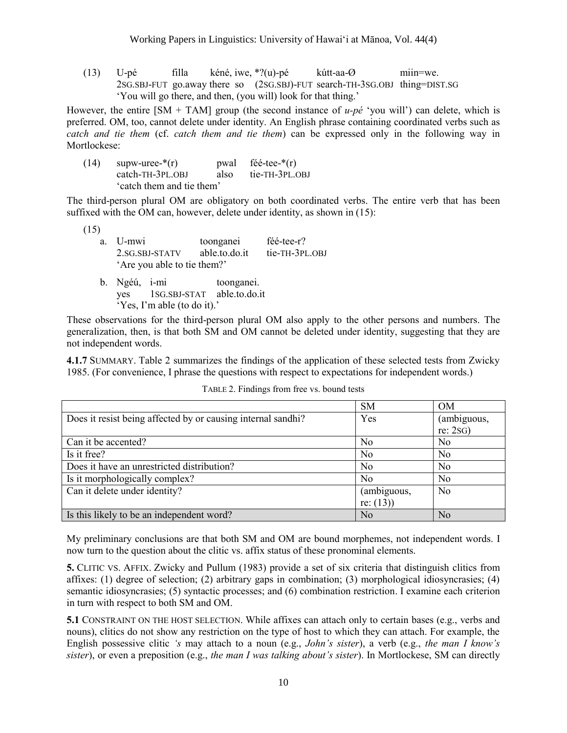(13) U-pé filla kéné, iwe, \*?(u)-pé kútt-aa-Ø miin=we. 2SG.SBJ-FUT go.away there so (2SG.SBJ)-FUT search-TH-3SG.OBJ thing=DIST.SG 'You will go there, and then, (you will) look for that thing.'

However, the entire  $[SM + TAM]$  group (the second instance of  $u-p\acute{e}$  'you will') can delete, which is preferred. OM, too, cannot delete under identity. An English phrase containing coordinated verbs such as *catch and tie them* (cf. *catch them and tie them*) can be expressed only in the following way in Mortlockese:

(14) supw-uree- $*(r)$  pwal féé-tee- $*(r)$ catch-TH-3PL.OBJ also tie-TH-3PL.OBJ 'catch them and tie them'

The third-person plural OM are obligatory on both coordinated verbs. The entire verb that has been suffixed with the OM can, however, delete under identity, as shown in (15):

(15)

| a. U-mwi                    | toonganei     | féé-tee-r?     |
|-----------------------------|---------------|----------------|
| 2.SG.SBJ-STATV              | able.to.do.it | tie-TH-3PL.OBJ |
| 'Are you able to tie them?' |               |                |

b. Ngéú, i-mi toonganei. yes 1SG.SBJ-STAT able.to.do.it 'Yes, I'm able (to do it).'

These observations for the third-person plural OM also apply to the other persons and numbers. The generalization, then, is that both SM and OM cannot be deleted under identity, suggesting that they are not independent words.

**4.1.7** SUMMARY. Table 2 summarizes the findings of the application of these selected tests from Zwicky 1985. (For convenience, I phrase the questions with respect to expectations for independent words.)

|                                                              | <b>SM</b>      | <b>OM</b>      |
|--------------------------------------------------------------|----------------|----------------|
| Does it resist being affected by or causing internal sandhi? | Yes            | (ambiguous,    |
|                                                              |                | re: 2SG)       |
| Can it be accented?                                          | N <sub>0</sub> | N <sub>0</sub> |
| Is it free?                                                  | N <sub>0</sub> | N <sub>0</sub> |
| Does it have an unrestricted distribution?                   | N <sub>0</sub> | No             |
| Is it morphologically complex?                               | N <sub>0</sub> | N <sub>o</sub> |
| Can it delete under identity?                                | (ambiguous,    | N <sub>o</sub> |
|                                                              | re: $(13)$     |                |
| Is this likely to be an independent word?                    | No             | N <sub>0</sub> |

TABLE 2. Findings from free vs. bound tests

My preliminary conclusions are that both SM and OM are bound morphemes, not independent words. I now turn to the question about the clitic vs. affix status of these pronominal elements.

**5.** CLITIC VS. AFFIX. Zwicky and Pullum (1983) provide a set of six criteria that distinguish clitics from affixes: (1) degree of selection; (2) arbitrary gaps in combination; (3) morphological idiosyncrasies; (4) semantic idiosyncrasies; (5) syntactic processes; and (6) combination restriction. I examine each criterion in turn with respect to both SM and OM.

**5.1** CONSTRAINT ON THE HOST SELECTION. While affixes can attach only to certain bases (e.g., verbs and nouns), clitics do not show any restriction on the type of host to which they can attach. For example, the English possessive clitic *'s* may attach to a noun (e.g., *John's sister*), a verb (e.g., *the man I know's sister*), or even a preposition (e.g., *the man I was talking about's sister*). In Mortlockese, SM can directly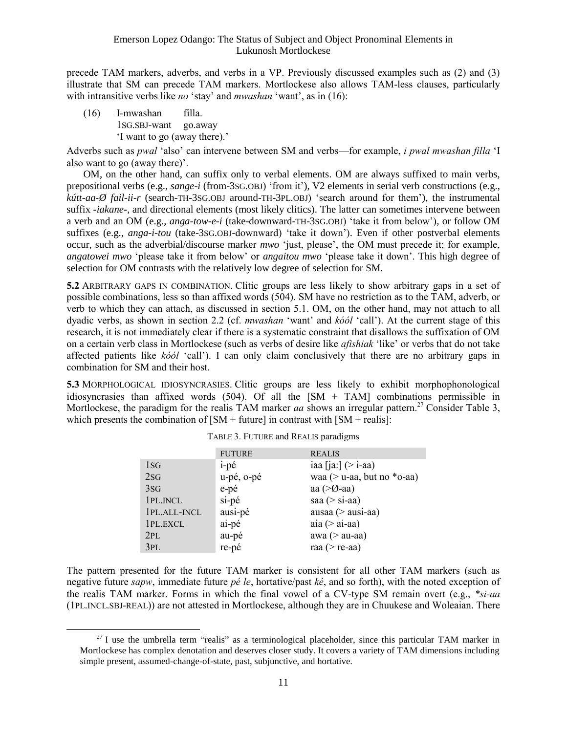precede TAM markers, adverbs, and verbs in a VP. Previously discussed examples such as (2) and (3) illustrate that SM can precede TAM markers. Mortlockese also allows TAM-less clauses, particularly with intransitive verbs like *no* 'stay' and *mwashan* 'want', as in (16):

(16) I-mwashan filla. 1SG.SBJ-want go.away 'I want to go (away there).'

l

Adverbs such as *pwal* 'also' can intervene between SM and verbs—for example, *i pwal mwashan filla* 'I also want to go (away there)'.

OM, on the other hand, can suffix only to verbal elements. OM are always suffixed to main verbs, prepositional verbs (e.g., *sange-i* (from-3SG.OBJ) 'from it'), V2 elements in serial verb constructions (e.g., *kútt-aa-Ø fail-ii-r* (search-TH-3SG.OBJ around-TH-3PL.OBJ) 'search around for them'), the instrumental suffix *-iakane-*, and directional elements (most likely clitics). The latter can sometimes intervene between a verb and an OM (e.g., *anga-tow-e-i* (take-downward-TH-3SG.OBJ) 'take it from below'), or follow OM suffixes (e.g., *anga-i-tou* (take-3SG.OBJ-downward) 'take it down'). Even if other postverbal elements occur, such as the adverbial/discourse marker *mwo* 'just, please', the OM must precede it; for example, *angatowei mwo* 'please take it from below' or *angaitou mwo* 'please take it down'. This high degree of selection for OM contrasts with the relatively low degree of selection for SM.

**5.2** ARBITRARY GAPS IN COMBINATION. Clitic groups are less likely to show arbitrary gaps in a set of possible combinations, less so than affixed words (504). SM have no restriction as to the TAM, adverb, or verb to which they can attach, as discussed in section 5.1. OM, on the other hand, may not attach to all dyadic verbs, as shown in section 2.2 (cf. *mwashan* 'want' and *kóól* 'call'). At the current stage of this research, it is not immediately clear if there is a systematic constraint that disallows the suffixation of OM on a certain verb class in Mortlockese (such as verbs of desire like *afishiak* 'like' or verbs that do not take affected patients like *kóól* 'call'). I can only claim conclusively that there are no arbitrary gaps in combination for SM and their host.

**5.3** MORPHOLOGICAL IDIOSYNCRASIES. Clitic groups are less likely to exhibit morphophonological idiosyncrasies than affixed words (504). Of all the [SM + TAM] combinations permissible in Mortlockese, the paradigm for the realis TAM marker *aa* shows an irregular pattern.<sup>27</sup> Consider Table 3, which presents the combination of  $[SM + future]$  in contrast with  $[SM + realism]$ :

|              | <b>FUTURE</b> | <b>REALIS</b>                    |
|--------------|---------------|----------------------------------|
| 1SG          | i-pé          | iaa [ja:] $(>$ i-aa)             |
| 2SG          | u-pé, o-pé    | waa ( $>$ u-aa, but no $*$ o-aa) |
| 3SG          | e-pé          | aa $(>\!\!>\!\!0$ -aa)           |
| 1PL.INCL     | si-pé         | saa $(>$ si-aa $)$               |
| 1PL.ALL-INCL | ausi-pé       | ausaa ( $>$ ausi-aa)             |
| 1PL.EXCL     | ai-pé         | aia $(> ai$ -aa $)$              |
| 2PL          | au-pé         | awa ( $>$ au-aa)                 |
| 3PL          | re-pé         | raa ( $>$ re-aa)                 |

TABLE 3. FUTURE and REALIS paradigms

The pattern presented for the future TAM marker is consistent for all other TAM markers (such as negative future *sapw*, immediate future *pé le*, hortative/past *ké*, and so forth), with the noted exception of the realis TAM marker. Forms in which the final vowel of a CV-type SM remain overt (e.g., *\*si-aa* (1PL.INCL.SBJ-REAL)) are not attested in Mortlockese, although they are in Chuukese and Woleaian. There

 $27$  I use the umbrella term "realis" as a terminological placeholder, since this particular TAM marker in Mortlockese has complex denotation and deserves closer study. It covers a variety of TAM dimensions including simple present, assumed-change-of-state, past, subjunctive, and hortative.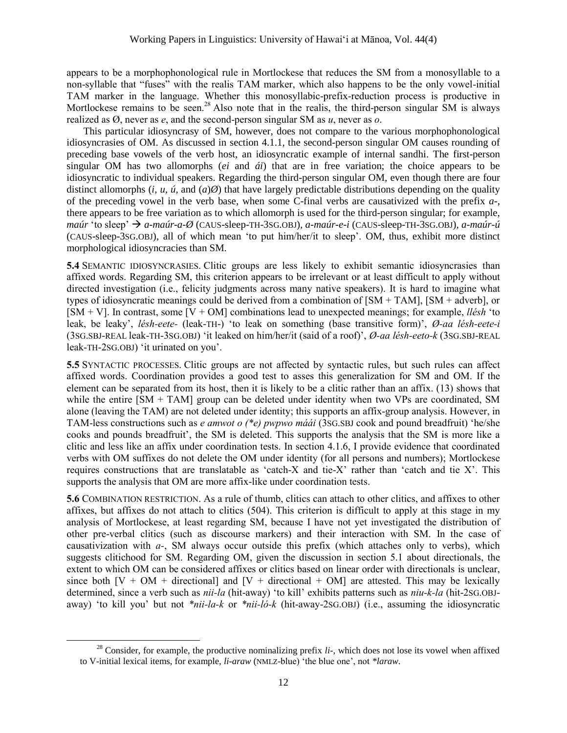appears to be a morphophonological rule in Mortlockese that reduces the SM from a monosyllable to a non-syllable that "fuses" with the realis TAM marker, which also happens to be the only vowel-initial TAM marker in the language. Whether this monosyllabic-prefix-reduction process is productive in Mortlockese remains to be seen.<sup>28</sup> Also note that in the realis, the third-person singular SM is always realized as Ø, never as *e*, and the second-person singular SM as *u*, never as *o*.

This particular idiosyncrasy of SM, however, does not compare to the various morphophonological idiosyncrasies of OM. As discussed in section 4.1.1, the second-person singular OM causes rounding of preceding base vowels of the verb host, an idiosyncratic example of internal sandhi. The first-person singular OM has two allomorphs (*ei* and *ái*) that are in free variation; the choice appears to be idiosyncratic to individual speakers. Regarding the third-person singular OM, even though there are four distinct allomorphs (*i, u, ú,* and  $(a)\emptyset$ ) that have largely predictable distributions depending on the quality of the preceding vowel in the verb base, when some C-final verbs are causativized with the prefix *a-*, there appears to be free variation as to which allomorph is used for the third-person singular; for example, *maúr* 'to sleep' *a-maúr-a-Ø* (CAUS-sleep-TH-3SG.OBJ)*, a-maúr-e-i* (CAUS-sleep-TH-3SG.OBJ)*, a-maúr-ú* (CAUS-sleep-3SG.OBJ), all of which mean 'to put him/her/it to sleep'. OM, thus, exhibit more distinct morphological idiosyncracies than SM.

**5.4** SEMANTIC IDIOSYNCRASIES. Clitic groups are less likely to exhibit semantic idiosyncrasies than affixed words. Regarding SM, this criterion appears to be irrelevant or at least difficult to apply without directed investigation (i.e., felicity judgments across many native speakers). It is hard to imagine what types of idiosyncratic meanings could be derived from a combination of [SM + TAM], [SM + adverb], or [SM + V]. In contrast, some [V + OM] combinations lead to unexpected meanings; for example, *llésh* 'to leak, be leaky', *lésh-eete-* (leak-TH-) 'to leak on something (base transitive form)', *Ø-aa lésh-eete-i* (3SG.SBJ-REAL leak-TH-3SG.OBJ) 'it leaked on him/her/it (said of a roof)', *Ø-aa lésh-eeto-k* (3SG.SBJ-REAL leak-TH-2SG.OBJ) 'it urinated on you'.

**5.5** SYNTACTIC PROCESSES. Clitic groups are not affected by syntactic rules, but such rules can affect affixed words. Coordination provides a good test to asses this generalization for SM and OM. If the element can be separated from its host, then it is likely to be a clitic rather than an affix. (13) shows that while the entire  $[SM + TAM]$  group can be deleted under identity when two VPs are coordinated, SM alone (leaving the TAM) are not deleted under identity; this supports an affix-group analysis. However, in TAM-less constructions such as *e amwot o (\*e) pwpwo máái* (3SG.SBJ cook and pound breadfruit) 'he/she cooks and pounds breadfruit', the SM is deleted. This supports the analysis that the SM is more like a clitic and less like an affix under coordination tests. In section 4.1.6, I provide evidence that coordinated verbs with OM suffixes do not delete the OM under identity (for all persons and numbers); Mortlockese requires constructions that are translatable as 'catch-X and tie-X' rather than 'catch and tie X'. This supports the analysis that OM are more affix-like under coordination tests.

**5.6** COMBINATION RESTRICTION. As a rule of thumb, clitics can attach to other clitics, and affixes to other affixes, but affixes do not attach to clitics (504). This criterion is difficult to apply at this stage in my analysis of Mortlockese, at least regarding SM, because I have not yet investigated the distribution of other pre-verbal clitics (such as discourse markers) and their interaction with SM. In the case of causativization with *a-*, SM always occur outside this prefix (which attaches only to verbs), which suggests clitichood for SM. Regarding OM, given the discussion in section 5.1 about directionals, the extent to which OM can be considered affixes or clitics based on linear order with directionals is unclear, since both  $[V + OM + directional]$  and  $[V + directional + OM]$  are attested. This may be lexically determined, since a verb such as *nii-la* (hit-away) 'to kill' exhibits patterns such as *niu-k-la* (hit-2SG.OBJaway) 'to kill you' but not *\*nii-la-k* or *\*nii-ló-k* (hit-away-2SG.OBJ) (i.e., assuming the idiosyncratic

l

<sup>&</sup>lt;sup>28</sup> Consider, for example, the productive nominalizing prefix *li*-, which does not lose its vowel when affixed to V-initial lexical items, for example, *li-araw* (NMLZ-blue) 'the blue one', not *\*laraw*.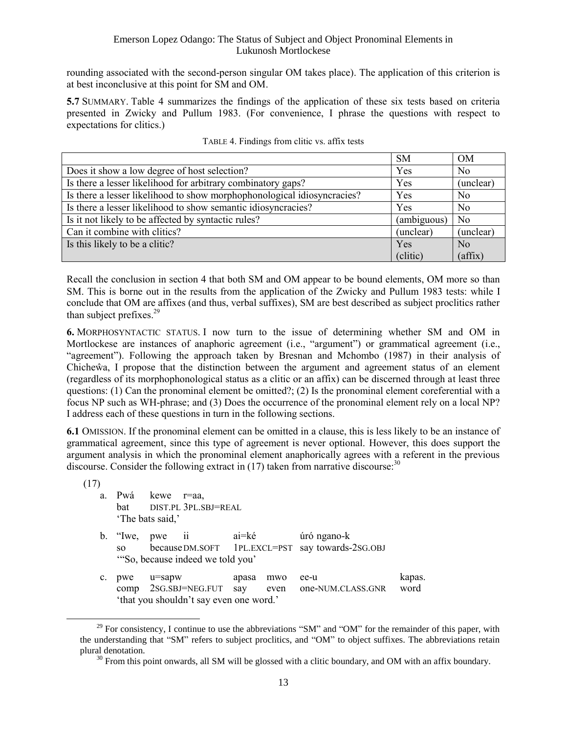rounding associated with the second-person singular OM takes place). The application of this criterion is at best inconclusive at this point for SM and OM.

**5.7** SUMMARY. Table 4 summarizes the findings of the application of these six tests based on criteria presented in Zwicky and Pullum 1983. (For convenience, I phrase the questions with respect to expectations for clitics.)

|                                                                         | <b>SM</b>   | OM             |
|-------------------------------------------------------------------------|-------------|----------------|
| Does it show a low degree of host selection?                            | Yes         | N <sub>0</sub> |
| Is there a lesser likelihood for arbitrary combinatory gaps?            | Yes         | (unclear)      |
| Is there a lesser likelihood to show morphophonological idiosyncracies? | Yes         | N <sub>0</sub> |
| Is there a lesser likelihood to show semantic idiosyncracies?           | Yes         | N <sub>0</sub> |
| Is it not likely to be affected by syntactic rules?                     | (ambiguous) | N <sub>0</sub> |
| Can it combine with clitics?                                            | (unclear)   | (unclear)      |
| Is this likely to be a clitic?                                          | Yes         | N <sub>0</sub> |
|                                                                         | (clitic)    | (affix)        |

Recall the conclusion in section 4 that both SM and OM appear to be bound elements, OM more so than SM. This is borne out in the results from the application of the Zwicky and Pullum 1983 tests: while I conclude that OM are affixes (and thus, verbal suffixes), SM are best described as subject proclitics rather than subject prefixes. $29$ 

**6.** MORPHOSYNTACTIC STATUS. I now turn to the issue of determining whether SM and OM in Mortlockese are instances of anaphoric agreement (i.e., "argument") or grammatical agreement (i.e., "agreement"). Following the approach taken by Bresnan and Mchombo (1987) in their analysis of Chicheŵa, I propose that the distinction between the argument and agreement status of an element (regardless of its morphophonological status as a clitic or an affix) can be discerned through at least three questions: (1) Can the pronominal element be omitted?; (2) Is the pronominal element coreferential with a focus NP such as WH-phrase; and (3) Does the occurrence of the pronominal element rely on a local NP? I address each of these questions in turn in the following sections.

**6.1** OMISSION. If the pronominal element can be omitted in a clause, this is less likely to be an instance of grammatical agreement, since this type of agreement is never optional. However, this does support the argument analysis in which the pronominal element anaphorically agrees with a referent in the previous discourse. Consider the following extract in  $(17)$  taken from narrative discourse:<sup>30</sup>

(17)

- a. Pwá kewe r=aa, bat DIST.PL 3PL.SBJ=REAL 'The bats said,'
- b. "Iwe, pwe ii ai=ké úró ngano-k so becauseDM.SOFT 1PL.EXCL=PST say towards-2SG.OBJ '"So, because indeed we told you'
- c. pwe u=sapw apasa mwo ee-u kapas. comp 2SG.SBJ=NEG.FUT say even one-NUM.CLASS.GNR word 'that you shouldn't say even one word.'

<sup>&</sup>lt;sup>29</sup> For consistency, I continue to use the abbreviations "SM" and "OM" for the remainder of this paper, with the understanding that "SM" refers to subject proclitics, and "OM" to object suffixes. The abbreviations retain plural denotation.

 $30$  From this point onwards, all SM will be glossed with a clitic boundary, and OM with an affix boundary.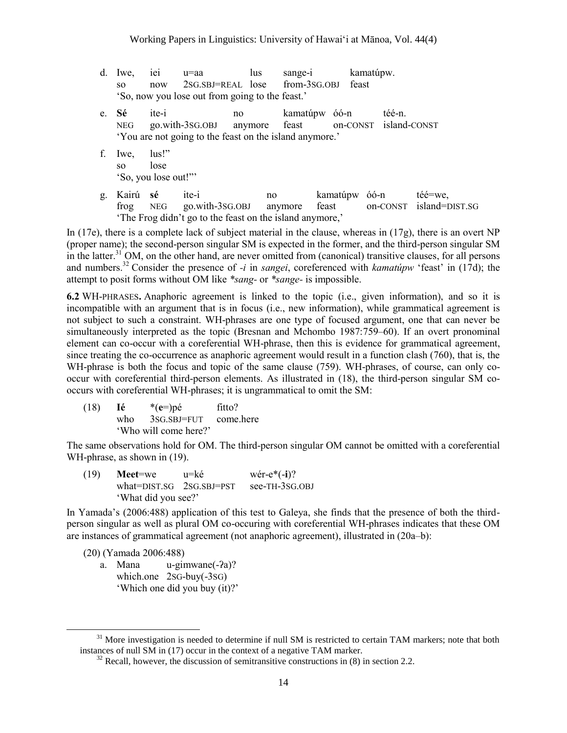|                                                 |  | d. Iwe, iei u=aa                         |  | lus sange-i kamatúpw. |  |  |
|-------------------------------------------------|--|------------------------------------------|--|-----------------------|--|--|
| SO -                                            |  | now 2SG.SBJ=REAL lose from-3SG.OBJ feast |  |                       |  |  |
| 'So, now you lose out from going to the feast.' |  |                                          |  |                       |  |  |

- e. **Sé** ite-i no kamatúpw óó-n téé-n. NEG go.with-3SG.OBJ anymore feast on-CONST island-CONST 'You are not going to the feast on the island anymore.'
- f. Iwe, lus!" so lose 'So, you lose out!"'
- g. Kairú **sé** ite-i no kamatúpw óó-n téé=we, frog NEG go.with-3SG.OBJ anymore feast on-CONST island=DIST.SG 'The Frog didn't go to the feast on the island anymore,'

In (17e), there is a complete lack of subject material in the clause, whereas in (17g), there is an overt NP (proper name); the second-person singular SM is expected in the former, and the third-person singular SM in the latter.<sup>31</sup> OM, on the other hand, are never omitted from (canonical) transitive clauses, for all persons and numbers.<sup>32</sup> Consider the presence of *-i* in *sangei*, coreferenced with *kamatúpw* 'feast' in (17d); the attempt to posit forms without OM like *\*sang-* or *\*sange-* is impossible.

**6.2** WH-PHRASES**.** Anaphoric agreement is linked to the topic (i.e., given information), and so it is incompatible with an argument that is in focus (i.e., new information), while grammatical agreement is not subject to such a constraint. WH-phrases are one type of focused argument, one that can never be simultaneously interpreted as the topic (Bresnan and Mchombo 1987:759–60). If an overt pronominal element can co-occur with a coreferential WH-phrase, then this is evidence for grammatical agreement, since treating the co-occurrence as anaphoric agreement would result in a function clash (760), that is, the WH-phrase is both the focus and topic of the same clause (759). WH-phrases, of course, can only cooccur with coreferential third-person elements. As illustrated in (18), the third-person singular SM cooccurs with coreferential WH-phrases; it is ungrammatical to omit the SM:

(18) **Ié** \*(**e**=)pé fitto? who 3SG.SBJ=FUT come.here 'Who will come here?'

The same observations hold for OM. The third-person singular OM cannot be omitted with a coreferential WH-phrase, as shown in  $(19)$ .

(19) **Meet**=we u=ké wér-e\*(-**i**)? what=DIST.SG 2SG.SBJ=PST see-TH-3SG.OBJ 'What did you see?'

In Yamada's (2006:488) application of this test to Galeya, she finds that the presence of both the thirdperson singular as well as plural OM co-occuring with coreferential WH-phrases indicates that these OM are instances of grammatical agreement (not anaphoric agreement), illustrated in (20a–b):

(20) (Yamada 2006:488)

l

a. Mana u-gimwane(-ʔa)? which.one 2SG-buy(-3SG) 'Which one did you buy (it)?'

 $31$  More investigation is needed to determine if null SM is restricted to certain TAM markers; note that both instances of null SM in (17) occur in the context of a negative TAM marker.

 $32$  Recall, however, the discussion of semitransitive constructions in (8) in section 2.2.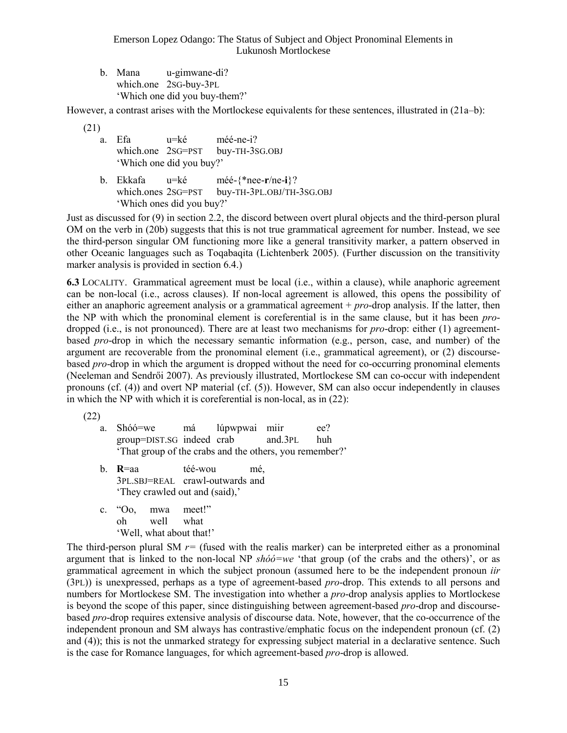b. Mana u-gimwane-di? which.one 2SG-buy-3PL 'Which one did you buy-them?'

However, a contrast arises with the Mortlockese equivalents for these sentences, illustrated in (21a–b):

(21)

- a. Efa u=ké méé-ne-i? which.one 2SG=PST buy-TH-3SG.OBJ 'Which one did you buy?'
- b. Ekkafa u=ké méé-{\*nee-**r**/ne-**i**}? which.ones 2SG=PST buy-TH-3PL.OBJ/TH-3SG.OBJ 'Which ones did you buy?'

Just as discussed for (9) in section 2.2, the discord between overt plural objects and the third-person plural OM on the verb in (20b) suggests that this is not true grammatical agreement for number. Instead, we see the third-person singular OM functioning more like a general transitivity marker, a pattern observed in other Oceanic languages such as Toqabaqita (Lichtenberk 2005). (Further discussion on the transitivity marker analysis is provided in section 6.4.)

**6.3** LOCALITY. Grammatical agreement must be local (i.e., within a clause), while anaphoric agreement can be non-local (i.e., across clauses). If non-local agreement is allowed, this opens the possibility of either an anaphoric agreement analysis or a grammatical agreement + *pro*-drop analysis. If the latter, then the NP with which the pronominal element is coreferential is in the same clause, but it has been *pro*dropped (i.e., is not pronounced). There are at least two mechanisms for *pro*-drop: either (1) agreementbased *pro*-drop in which the necessary semantic information (e.g., person, case, and number) of the argument are recoverable from the pronominal element (i.e., grammatical agreement), or (2) discoursebased *pro*-drop in which the argument is dropped without the need for co-occurring pronominal elements (Neeleman and Sendrői 2007). As previously illustrated, Mortlockese SM can co-occur with independent pronouns (cf. (4)) and overt NP material (cf. (5)). However, SM can also occur independently in clauses in which the NP with which it is coreferential is non-local, as in (22):

(22)

- a. Shóó=we má lúpwpwai miir ee? group=DIST.SG indeed crab and.3PL huh 'That group of the crabs and the others, you remember?'
- b. **R**=aa téé-wou mé, 3PL.SBJ=REAL crawl-outwards and 'They crawled out and (said),'
- c. "Oo, mwa meet!" oh well what 'Well, what about that!'

The third-person plural SM *r=* (fused with the realis marker) can be interpreted either as a pronominal argument that is linked to the non-local NP *shóó=we* 'that group (of the crabs and the others)', or as grammatical agreement in which the subject pronoun (assumed here to be the independent pronoun *iir*  (3PL)) is unexpressed, perhaps as a type of agreement-based *pro*-drop. This extends to all persons and numbers for Mortlockese SM. The investigation into whether a *pro*-drop analysis applies to Mortlockese is beyond the scope of this paper, since distinguishing between agreement-based *pro*-drop and discoursebased *pro*-drop requires extensive analysis of discourse data. Note, however, that the co-occurrence of the independent pronoun and SM always has contrastive/emphatic focus on the independent pronoun (cf. (2) and (4)); this is not the unmarked strategy for expressing subject material in a declarative sentence. Such is the case for Romance languages, for which agreement-based *pro*-drop is allowed.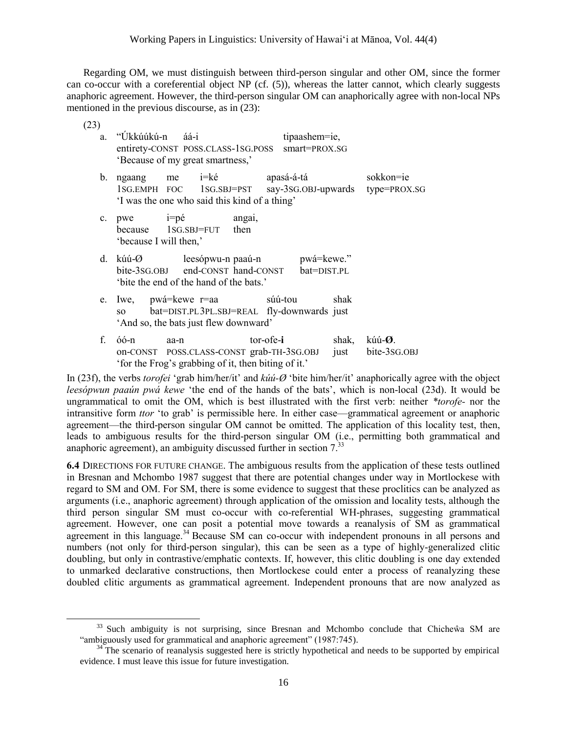Regarding OM, we must distinguish between third-person singular and other OM, since the former can co-occur with a coreferential object NP (cf. (5)), whereas the latter cannot, which clearly suggests anaphoric agreement. However, the third-person singular OM can anaphorically agree with non-local NPs mentioned in the previous discourse, as in (23):

(23)

 $\overline{a}$ 

| a.             | "Úkkúúkú-n             | áá-i<br>entirety-CONST POSS.CLASS-1SG.POSS<br>'Because of my great smartness,'                                             | tipaashem=ie,<br>smart=PROX.SG |               |                                    |
|----------------|------------------------|----------------------------------------------------------------------------------------------------------------------------|--------------------------------|---------------|------------------------------------|
| $\mathbf{b}$ . |                        | ngaang me i=ké apasá-á-tá<br>1SG.EMPH FOC 1SG.SBJ=PST say-3SG.OBJ-upwards<br>'I was the one who said this kind of a thing' |                                |               | sokkon=ie<br>type=PROX.SG          |
| $c_{\cdot}$    | 'because I will then,' | $pwe$ $i=p\acute{e}$<br>angai,<br>because 1SG.SBJ=FUT then                                                                 |                                |               |                                    |
| d.             | kúú-Ø                  | leesópwu-n paaú-n bwá=kewe."<br>bite-3sG.OBJ end-CONST hand-CONST bat=DIST.PL<br>'bite the end of the hand of the bats.'   |                                |               |                                    |
| e.             | SO                     | Iwe, pwá=kewe r=aa súú-tou<br>bat=DIST.PL3PL.SBJ=REAL fly-downwards just<br>'And so, the bats just flew downward'          |                                | shak          |                                    |
| f.             | óó-n                   | aa-n<br>on-CONST POSS.CLASS-CONST grab-TH-3SG.OBJ<br>'for the Frog's grabbing of it, then biting of it.'                   | tor-ofe-i                      | shak,<br>just | kúú-Ø.<br>bite-3 <sub>SG.OBJ</sub> |

In (23f), the verbs *torofei* 'grab him/her/it' and *kúú-Ø* 'bite him/her/it' anaphorically agree with the object *leesópwun paaún pwá kewe* 'the end of the hands of the bats', which is non-local (23d). It would be ungrammatical to omit the OM, which is best illustrated with the first verb: neither *\*torofe-* nor the intransitive form *ttor* 'to grab' is permissible here. In either case—grammatical agreement or anaphoric agreement—the third-person singular OM cannot be omitted. The application of this locality test, then, leads to ambiguous results for the third-person singular OM (i.e., permitting both grammatical and anaphoric agreement), an ambiguity discussed further in section  $7<sup>33</sup>$ 

**6.4** DIRECTIONS FOR FUTURE CHANGE. The ambiguous results from the application of these tests outlined in Bresnan and Mchombo 1987 suggest that there are potential changes under way in Mortlockese with regard to SM and OM. For SM, there is some evidence to suggest that these proclitics can be analyzed as arguments (i.e., anaphoric agreement) through application of the omission and locality tests, although the third person singular SM must co-occur with co-referential WH-phrases, suggesting grammatical agreement. However, one can posit a potential move towards a reanalysis of SM as grammatical agreement in this language.<sup>34</sup> Because  $\overrightarrow{SM}$  can co-occur with independent pronouns in all persons and numbers (not only for third-person singular), this can be seen as a type of highly-generalized clitic doubling, but only in contrastive/emphatic contexts. If, however, this clitic doubling is one day extended to unmarked declarative constructions, then Mortlockese could enter a process of reanalyzing these doubled clitic arguments as grammatical agreement. Independent pronouns that are now analyzed as

 $33$  Such ambiguity is not surprising, since Bresnan and Mchombo conclude that Chiche $\hat{w}a$  SM are "ambiguously used for grammatical and anaphoric agreement" (1987:745).

<sup>&</sup>lt;sup>34</sup> The scenario of reanalysis suggested here is strictly hypothetical and needs to be supported by empirical evidence. I must leave this issue for future investigation.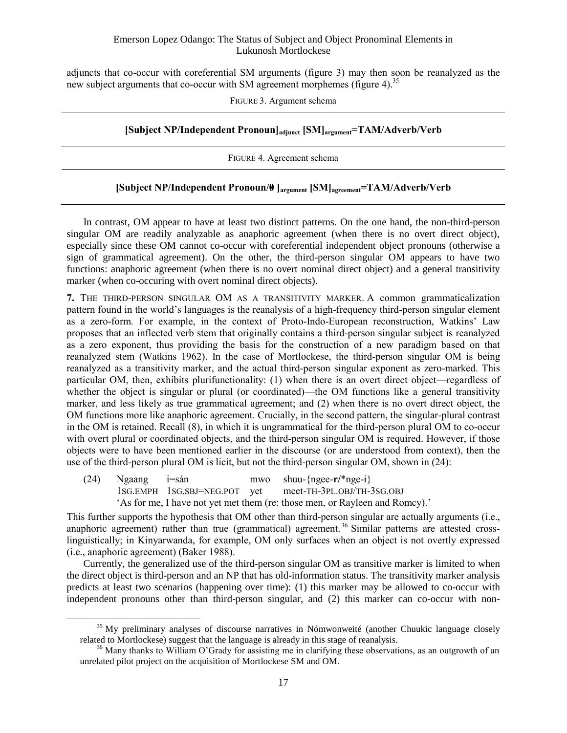adjuncts that co-occur with coreferential SM arguments (figure 3) may then soon be reanalyzed as the new subject arguments that co-occur with SM agreement morphemes (figure 4).<sup>35</sup>

FIGURE 3. Argument schema

### **[Subject NP/Independent Pronoun]adjunct [SM]argument=TAM/Adverb/Verb**

FIGURE 4. Agreement schema

### **[Subject NP/Independent Pronoun/0/ ]argument [SM]agreement=TAM/Adverb/Verb**

In contrast, OM appear to have at least two distinct patterns. On the one hand, the non-third-person singular OM are readily analyzable as anaphoric agreement (when there is no overt direct object), especially since these OM cannot co-occur with coreferential independent object pronouns (otherwise a sign of grammatical agreement). On the other, the third-person singular OM appears to have two functions: anaphoric agreement (when there is no overt nominal direct object) and a general transitivity marker (when co-occuring with overt nominal direct objects).

**7.** THE THIRD-PERSON SINGULAR OM AS A TRANSITIVITY MARKER. A common grammaticalization pattern found in the world's languages is the reanalysis of a high-frequency third-person singular element as a zero-form. For example, in the context of Proto-Indo-European reconstruction, Watkins' Law proposes that an inflected verb stem that originally contains a third-person singular subject is reanalyzed as a zero exponent, thus providing the basis for the construction of a new paradigm based on that reanalyzed stem (Watkins 1962). In the case of Mortlockese, the third-person singular OM is being reanalyzed as a transitivity marker, and the actual third-person singular exponent as zero-marked. This particular OM, then, exhibits plurifunctionality: (1) when there is an overt direct object—regardless of whether the object is singular or plural (or coordinated)—the OM functions like a general transitivity marker, and less likely as true grammatical agreement; and (2) when there is no overt direct object, the OM functions more like anaphoric agreement. Crucially, in the second pattern, the singular-plural contrast in the OM is retained. Recall (8), in which it is ungrammatical for the third-person plural OM to co-occur with overt plural or coordinated objects, and the third-person singular OM is required. However, if those objects were to have been mentioned earlier in the discourse (or are understood from context), then the use of the third-person plural OM is licit, but not the third-person singular OM, shown in (24):

(24) Ngaang i=sán mwo shuu-{ngee-**r/**\*nge-i} 1SG.EMPH 1SG.SBJ=NEG.POT yet meet-TH-3PL.OBJ/TH-3SG.OBJ 'As for me, I have not yet met them (re: those men, or Rayleen and Romcy).'

 $\overline{a}$ 

This further supports the hypothesis that OM other than third-person singular are actually arguments (i.e., anaphoric agreement) rather than true (grammatical) agreement.<sup>36</sup> Similar patterns are attested crosslinguistically; in Kinyarwanda, for example, OM only surfaces when an object is not overtly expressed (i.e., anaphoric agreement) (Baker 1988).

Currently, the generalized use of the third-person singular OM as transitive marker is limited to when the direct object is third-person and an NP that has old-information status. The transitivity marker analysis predicts at least two scenarios (happening over time): (1) this marker may be allowed to co-occur with independent pronouns other than third-person singular, and (2) this marker can co-occur with non-

 $35$  My preliminary analyses of discourse narratives in Nómwonweité (another Chuukic language closely related to Mortlockese) suggest that the language is already in this stage of reanalysis.

<sup>&</sup>lt;sup>36</sup> Many thanks to William O'Grady for assisting me in clarifying these observations, as an outgrowth of an unrelated pilot project on the acquisition of Mortlockese SM and OM.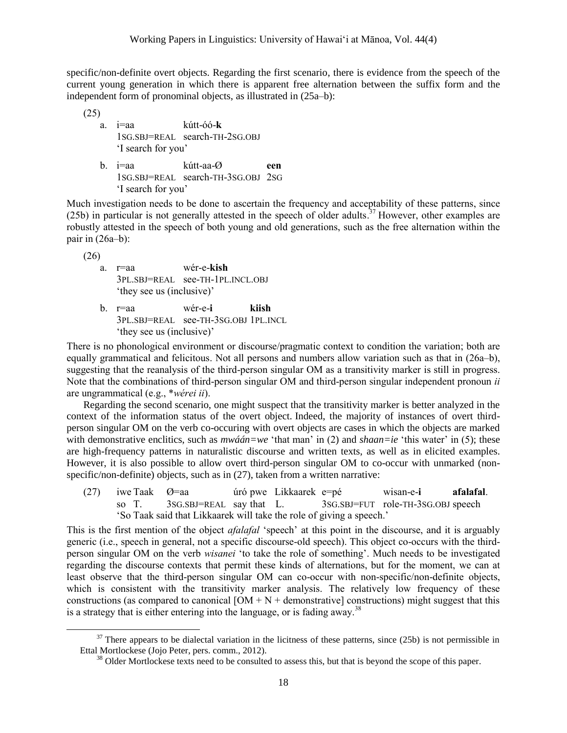specific/non-definite overt objects. Regarding the first scenario, there is evidence from the speech of the current young generation in which there is apparent free alternation between the suffix form and the independent form of pronominal objects, as illustrated in (25a–b):

(25)

- a. i=aa kútt-óó-**k** 1SG.SBJ=REAL search-TH-2SG.OBJ 'I search for you'
- b. i=aa kútt-aa-Ø **een**  1SG.SBJ=REAL search-TH-3SG.OBJ 2SG 'I search for you'

Much investigation needs to be done to ascertain the frequency and acceptability of these patterns, since (25b) in particular is not generally attested in the speech of older adults.<sup>37</sup> However, other examples are robustly attested in the speech of both young and old generations, such as the free alternation within the pair in (26a–b):

(26)

l

- a. r=aa wér-e-**kish** 3PL.SBJ=REAL see-TH-1PL.INCL.OBJ 'they see us (inclusive)'
- b. r=aa wér-e-**i kiish** 3PL.SBJ=REAL see-TH-3SG.OBJ 1PL.INCL 'they see us (inclusive)'

There is no phonological environment or discourse/pragmatic context to condition the variation; both are equally grammatical and felicitous. Not all persons and numbers allow variation such as that in (26a–b), suggesting that the reanalysis of the third-person singular OM as a transitivity marker is still in progress. Note that the combinations of third-person singular OM and third-person singular independent pronoun *ii* are ungrammatical (e.g., \**wérei ii*).

Regarding the second scenario, one might suspect that the transitivity marker is better analyzed in the context of the information status of the overt object. Indeed, the majority of instances of overt thirdperson singular OM on the verb co-occuring with overt objects are cases in which the objects are marked with demonstrative enclitics, such as  $mw\acute{a}a = we'$  that man' in (2) and *shaan=ie* 'this water' in (5); these are high-frequency patterns in naturalistic discourse and written texts, as well as in elicited examples. However, it is also possible to allow overt third-person singular OM to co-occur with unmarked (nonspecific/non-definite) objects, such as in (27), taken from a written narrative:

(27) iwe Taak Ø=aa úró pwe Likkaarek e=pé wisan-e-**i afalafal**. so T. 3SG.SBJ=REAL say that L. 3SG.SBJ=FUT role-TH-3SG.OBJ speech 'So Taak said that Likkaarek will take the role of giving a speech.'

This is the first mention of the object *afalafal* 'speech' at this point in the discourse, and it is arguably generic (i.e., speech in general, not a specific discourse-old speech). This object co-occurs with the thirdperson singular OM on the verb *wisanei* 'to take the role of something'. Much needs to be investigated regarding the discourse contexts that permit these kinds of alternations, but for the moment, we can at least observe that the third-person singular OM can co-occur with non-specific/non-definite objects, which is consistent with the transitivity marker analysis. The relatively low frequency of these constructions (as compared to canonical  $[OM + N +$  demonstrative] constructions) might suggest that this is a strategy that is either entering into the language, or is fading away.<sup>38</sup>

 $37$  There appears to be dialectal variation in the licitness of these patterns, since (25b) is not permissible in Ettal Mortlockese (Jojo Peter, pers. comm., 2012).

<sup>&</sup>lt;sup>38</sup> Older Mortlockese texts need to be consulted to assess this, but that is beyond the scope of this paper.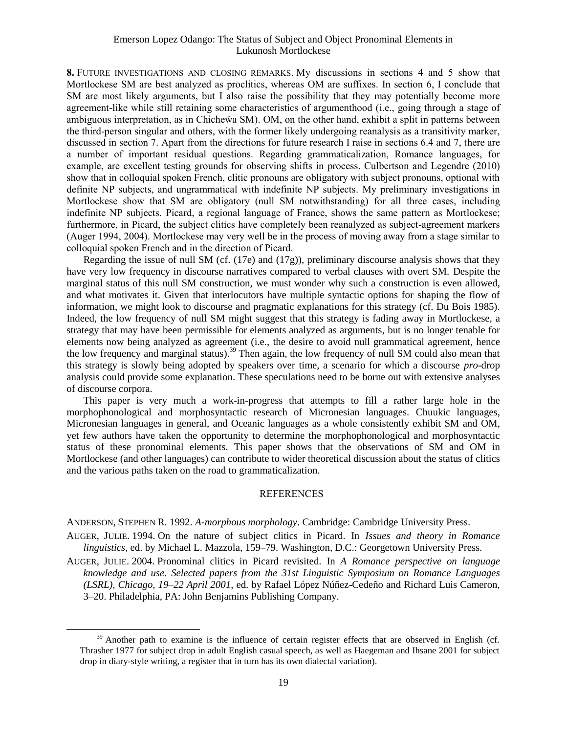**8.** FUTURE INVESTIGATIONS AND CLOSING REMARKS. My discussions in sections 4 and 5 show that Mortlockese SM are best analyzed as proclitics, whereas OM are suffixes. In section 6, I conclude that SM are most likely arguments, but I also raise the possibility that they may potentially become more agreement-like while still retaining some characteristics of argumenthood (i.e., going through a stage of ambiguous interpretation, as in Chicheŵa SM). OM, on the other hand, exhibit a split in patterns between the third-person singular and others, with the former likely undergoing reanalysis as a transitivity marker, discussed in section 7. Apart from the directions for future research I raise in sections 6.4 and 7, there are a number of important residual questions. Regarding grammaticalization, Romance languages, for example, are excellent testing grounds for observing shifts in process. Culbertson and Legendre (2010) show that in colloquial spoken French, clitic pronouns are obligatory with subject pronouns, optional with definite NP subjects, and ungrammatical with indefinite NP subjects. My preliminary investigations in Mortlockese show that SM are obligatory (null SM notwithstanding) for all three cases, including indefinite NP subjects. Picard, a regional language of France, shows the same pattern as Mortlockese; furthermore, in Picard, the subject clitics have completely been reanalyzed as subject-agreement markers (Auger 1994, 2004). Mortlockese may very well be in the process of moving away from a stage similar to colloquial spoken French and in the direction of Picard.

Regarding the issue of null SM (cf. (17e) and (17g)), preliminary discourse analysis shows that they have very low frequency in discourse narratives compared to verbal clauses with overt SM. Despite the marginal status of this null SM construction, we must wonder why such a construction is even allowed, and what motivates it. Given that interlocutors have multiple syntactic options for shaping the flow of information, we might look to discourse and pragmatic explanations for this strategy (cf. Du Bois 1985). Indeed, the low frequency of null SM might suggest that this strategy is fading away in Mortlockese, a strategy that may have been permissible for elements analyzed as arguments, but is no longer tenable for elements now being analyzed as agreement (i.e., the desire to avoid null grammatical agreement, hence the low frequency and marginal status).<sup>39</sup> Then again, the low frequency of null SM could also mean that this strategy is slowly being adopted by speakers over time, a scenario for which a discourse *pro*-drop analysis could provide some explanation. These speculations need to be borne out with extensive analyses of discourse corpora.

This paper is very much a work-in-progress that attempts to fill a rather large hole in the morphophonological and morphosyntactic research of Micronesian languages. Chuukic languages, Micronesian languages in general, and Oceanic languages as a whole consistently exhibit SM and OM, yet few authors have taken the opportunity to determine the morphophonological and morphosyntactic status of these pronominal elements. This paper shows that the observations of SM and OM in Mortlockese (and other languages) can contribute to wider theoretical discussion about the status of clitics and the various paths taken on the road to grammaticalization.

#### REFERENCES

ANDERSON, STEPHEN R. 1992. *A-morphous morphology*. Cambridge: Cambridge University Press.

l

- AUGER, JULIE. 1994. On the nature of subject clitics in Picard. In *Issues and theory in Romance linguistics*, ed. by Michael L. Mazzola, 159–79. Washington, D.C.: Georgetown University Press.
- AUGER, JULIE. 2004. Pronominal clitics in Picard revisited. In *A Romance perspective on language knowledge and use. Selected papers from the 31st Linguistic Symposium on Romance Languages (LSRL), Chicago, 19–22 April 2001*, ed. by Rafael López Núñez-Cedeño and Richard Luis Cameron, 3–20. Philadelphia, PA: John Benjamins Publishing Company.

<sup>&</sup>lt;sup>39</sup> Another path to examine is the influence of certain register effects that are observed in English (cf. Thrasher 1977 for subject drop in adult English casual speech, as well as Haegeman and Ihsane 2001 for subject drop in diary-style writing, a register that in turn has its own dialectal variation).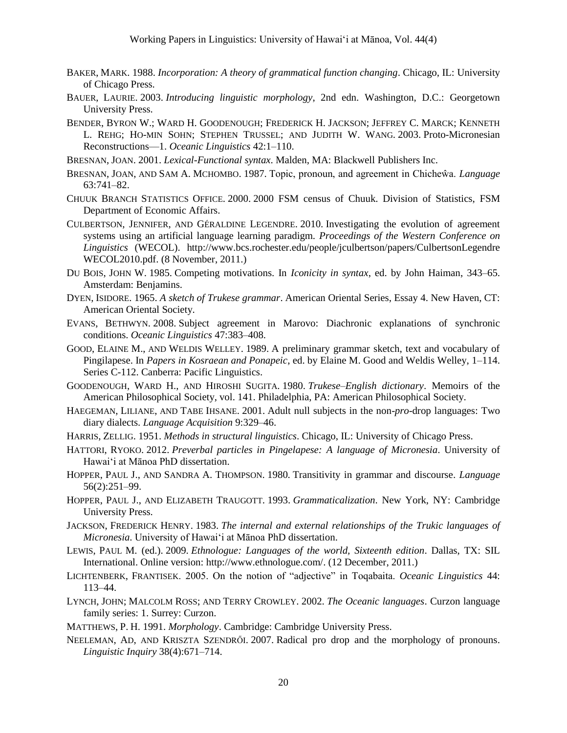- BAKER, MARK. 1988. *Incorporation: A theory of grammatical function changing*. Chicago, IL: University of Chicago Press.
- BAUER, LAURIE. 2003. *Introducing linguistic morphology*, 2nd edn. Washington, D.C.: Georgetown University Press.
- BENDER, BYRON W.; WARD H. GOODENOUGH; FREDERICK H. JACKSON; JEFFREY C. MARCK; KENNETH L. REHG; HO-MIN SOHN; STEPHEN TRUSSEL; AND JUDITH W. WANG. 2003. Proto-Micronesian Reconstructions—1. *Oceanic Linguistics* 42:1–110.
- BRESNAN, JOAN. 2001. *Lexical-Functional syntax*. Malden, MA: Blackwell Publishers Inc.
- BRESNAN, JOAN, AND SAM A. MCHOMBO. 1987. Topic, pronoun, and agreement in Chicheŵa. *Language* 63:741–82.
- CHUUK BRANCH STATISTICS OFFICE. 2000. 2000 FSM census of Chuuk. Division of Statistics, FSM Department of Economic Affairs.
- CULBERTSON, JENNIFER, AND GÉRALDINE LEGENDRE. 2010. Investigating the evolution of agreement systems using an artificial language learning paradigm. *Proceedings of the Western Conference on Linguistics* (WECOL). http://www.bcs.rochester.edu/people/jculbertson/papers/CulbertsonLegendre WECOL2010.pdf. (8 November, 2011.)
- DU BOIS, JOHN W. 1985. Competing motivations. In *Iconicity in syntax*, ed. by John Haiman, 343–65. Amsterdam: Benjamins.
- DYEN, ISIDORE. 1965. *A sketch of Trukese grammar*. American Oriental Series, Essay 4. New Haven, CT: American Oriental Society.
- EVANS, BETHWYN. 2008. Subject agreement in Marovo: Diachronic explanations of synchronic conditions. *Oceanic Linguistics* 47:383–408.
- GOOD, ELAINE M., AND WELDIS WELLEY. 1989. A preliminary grammar sketch, text and vocabulary of Pingilapese. In *Papers in Kosraean and Ponapeic*, ed. by Elaine M. Good and Weldis Welley, 1–114. Series C-112. Canberra: Pacific Linguistics.
- GOODENOUGH, WARD H., AND HIROSHI SUGITA. 1980. *Trukese–English dictionary*. Memoirs of the American Philosophical Society, vol. 141. Philadelphia, PA: American Philosophical Society.
- HAEGEMAN, LILIANE, AND TABE IHSANE. 2001. Adult null subjects in the non-*pro*-drop languages: Two diary dialects. *Language Acquisition* 9:329–46.
- HARRIS, ZELLIG. 1951. *Methods in structural linguistics*. Chicago, IL: University of Chicago Press.
- HATTORI, RYOKO. 2012. *Preverbal particles in Pingelapese: A language of Micronesia*. University of Hawai'i at Mānoa PhD dissertation.
- HOPPER, PAUL J., AND SANDRA A. THOMPSON. 1980. Transitivity in grammar and discourse. *Language* 56(2):251–99.
- HOPPER, PAUL J., AND ELIZABETH TRAUGOTT. 1993. *Grammaticalization*. New York, NY: Cambridge University Press.
- JACKSON, FREDERICK HENRY. 1983. *The internal and external relationships of the Trukic languages of Micronesia*. University of Hawai'i at Mānoa PhD dissertation.
- LEWIS, PAUL M. (ed.). 2009. *Ethnologue: Languages of the world, Sixteenth edition*. Dallas, TX: SIL International. Online version: http://www.ethnologue.com/. (12 December, 2011.)
- LICHTENBERK, FRANTISEK. 2005. On the notion of "adjective" in Toqabaita. *Oceanic Linguistics* 44: 113–44.
- LYNCH, JOHN; MALCOLM ROSS; AND TERRY CROWLEY. 2002. *The Oceanic languages*. Curzon language family series: 1. Surrey: Curzon.
- MATTHEWS, P. H. 1991. *Morphology*. Cambridge: Cambridge University Press.
- NEELEMAN, AD, AND KRISZTA SZENDRŐI. 2007. Radical pro drop and the morphology of pronouns. *Linguistic Inquiry* 38(4):671–714.